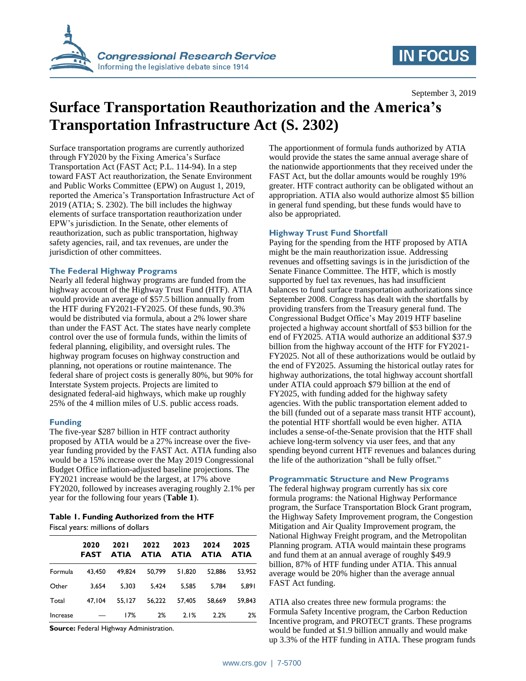

# **IN FOCUS**

September 3, 2019

# **Surface Transportation Reauthorization and the America's Transportation Infrastructure Act (S. 2302)**

Surface transportation programs are currently authorized through FY2020 by the Fixing America's Surface Transportation Act (FAST Act; P.L. 114-94). In a step toward FAST Act reauthorization, the Senate Environment and Public Works Committee (EPW) on August 1, 2019, reported the America's Transportation Infrastructure Act of 2019 (ATIA; S. 2302). The bill includes the highway elements of surface transportation reauthorization under EPW's jurisdiction. In the Senate, other elements of reauthorization, such as public transportation, highway safety agencies, rail, and tax revenues, are under the jurisdiction of other committees.

### **The Federal Highway Programs**

Nearly all federal highway programs are funded from the highway account of the Highway Trust Fund (HTF). ATIA would provide an average of \$57.5 billion annually from the HTF during FY2021-FY2025. Of these funds, 90.3% would be distributed via formula, about a 2% lower share than under the FAST Act. The states have nearly complete control over the use of formula funds, within the limits of federal planning, eligibility, and oversight rules. The highway program focuses on highway construction and planning, not operations or routine maintenance. The federal share of project costs is generally 80%, but 90% for Interstate System projects. Projects are limited to designated federal-aid highways, which make up roughly 25% of the 4 million miles of U.S. public access roads.

# **Funding**

The five-year \$287 billion in HTF contract authority proposed by ATIA would be a 27% increase over the fiveyear funding provided by the FAST Act. ATIA funding also would be a 15% increase over the May 2019 Congressional Budget Office inflation-adjusted baseline projections. The FY2021 increase would be the largest, at 17% above FY2020, followed by increases averaging roughly 2.1% per year for the following four years (**[Table 1](#page-0-0)**).

## <span id="page-0-0"></span>**Table 1. Funding Authorized from the HTF** Fiscal years: millions of dollars

|          | 2020<br><b>FAST</b> | <b>2021</b><br><b>ATIA</b> | 2022<br><b>ATIA</b> | 2023<br><b>ATIA</b> | 2024<br><b>ATIA</b> | 2025<br>ATIA |
|----------|---------------------|----------------------------|---------------------|---------------------|---------------------|--------------|
| Formula  | 43.450              | 49.824                     | 50.799              | 51.820              | 52.886              | 53.952       |
| Other    | 3.654               | 5.303                      | 5.424               | 5.585               | 5.784               | 5.891        |
| Total    | 47.104              | 55.127                     | 56.222              | 57.405              | 58.669              | 59.843       |
| Increase |                     | 17%                        | 2%                  | 2.1%                | 2.2%                | 2%           |

**Source:** Federal Highway Administration.

The apportionment of formula funds authorized by ATIA would provide the states the same annual average share of the nationwide apportionments that they received under the FAST Act, but the dollar amounts would be roughly 19% greater. HTF contract authority can be obligated without an appropriation. ATIA also would authorize almost \$5 billion in general fund spending, but these funds would have to also be appropriated.

# **Highway Trust Fund Shortfall**

Paying for the spending from the HTF proposed by ATIA might be the main reauthorization issue. Addressing revenues and offsetting savings is in the jurisdiction of the Senate Finance Committee. The HTF, which is mostly supported by fuel tax revenues, has had insufficient balances to fund surface transportation authorizations since September 2008. Congress has dealt with the shortfalls by providing transfers from the Treasury general fund. The Congressional Budget Office's May 2019 HTF baseline projected a highway account shortfall of \$53 billion for the end of FY2025. ATIA would authorize an additional \$37.9 billion from the highway account of the HTF for FY2021- FY2025. Not all of these authorizations would be outlaid by the end of FY2025. Assuming the historical outlay rates for highway authorizations, the total highway account shortfall under ATIA could approach \$79 billion at the end of FY2025, with funding added for the highway safety agencies. With the public transportation element added to the bill (funded out of a separate mass transit HTF account), the potential HTF shortfall would be even higher. ATIA includes a sense-of-the-Senate provision that the HTF shall achieve long-term solvency via user fees, and that any spending beyond current HTF revenues and balances during the life of the authorization "shall be fully offset."

### **Programmatic Structure and New Programs**

The federal highway program currently has six core formula programs: the National Highway Performance program, the Surface Transportation Block Grant program, the Highway Safety Improvement program, the Congestion Mitigation and Air Quality Improvement program, the National Highway Freight program, and the Metropolitan Planning program. ATIA would maintain these programs and fund them at an annual average of roughly \$49.9 billion, 87% of HTF funding under ATIA. This annual average would be 20% higher than the average annual FAST Act funding.

ATIA also creates three new formula programs: the Formula Safety Incentive program, the Carbon Reduction Incentive program, and PROTECT grants. These programs would be funded at \$1.9 billion annually and would make up 3.3% of the HTF funding in ATIA. These program funds